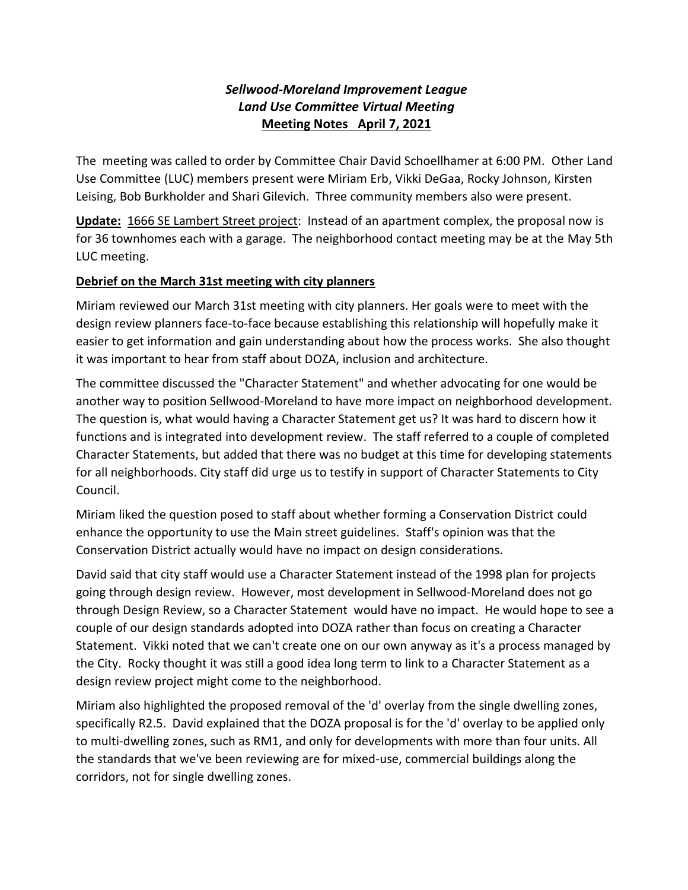## *Sellwood-Moreland Improvement League Land Use Committee Virtual Meeting* **Meeting Notes April 7, 2021**

The meeting was called to order by Committee Chair David Schoellhamer at 6:00 PM. Other Land Use Committee (LUC) members present were Miriam Erb, Vikki DeGaa, Rocky Johnson, Kirsten Leising, Bob Burkholder and Shari Gilevich. Three community members also were present.

**Update:** 1666 SE Lambert Street project: Instead of an apartment complex, the proposal now is for 36 townhomes each with a garage. The neighborhood contact meeting may be at the May 5th LUC meeting.

## **Debrief on the March 31st meeting with city planners**

Miriam reviewed our March 31st meeting with city planners. Her goals were to meet with the design review planners face-to-face because establishing this relationship will hopefully make it easier to get information and gain understanding about how the process works. She also thought it was important to hear from staff about DOZA, inclusion and architecture.

The committee discussed the "Character Statement" and whether advocating for one would be another way to position Sellwood-Moreland to have more impact on neighborhood development. The question is, what would having a Character Statement get us? It was hard to discern how it functions and is integrated into development review. The staff referred to a couple of completed Character Statements, but added that there was no budget at this time for developing statements for all neighborhoods. City staff did urge us to testify in support of Character Statements to City Council.

Miriam liked the question posed to staff about whether forming a Conservation District could enhance the opportunity to use the Main street guidelines. Staff's opinion was that the Conservation District actually would have no impact on design considerations.

David said that city staff would use a Character Statement instead of the 1998 plan for projects going through design review. However, most development in Sellwood-Moreland does not go through Design Review, so a Character Statement would have no impact. He would hope to see a couple of our design standards adopted into DOZA rather than focus on creating a Character Statement. Vikki noted that we can't create one on our own anyway as it's a process managed by the City. Rocky thought it was still a good idea long term to link to a Character Statement as a design review project might come to the neighborhood.

Miriam also highlighted the proposed removal of the 'd' overlay from the single dwelling zones, specifically R2.5. David explained that the DOZA proposal is for the 'd' overlay to be applied only to multi-dwelling zones, such as RM1, and only for developments with more than four units. All the standards that we've been reviewing are for mixed-use, commercial buildings along the corridors, not for single dwelling zones.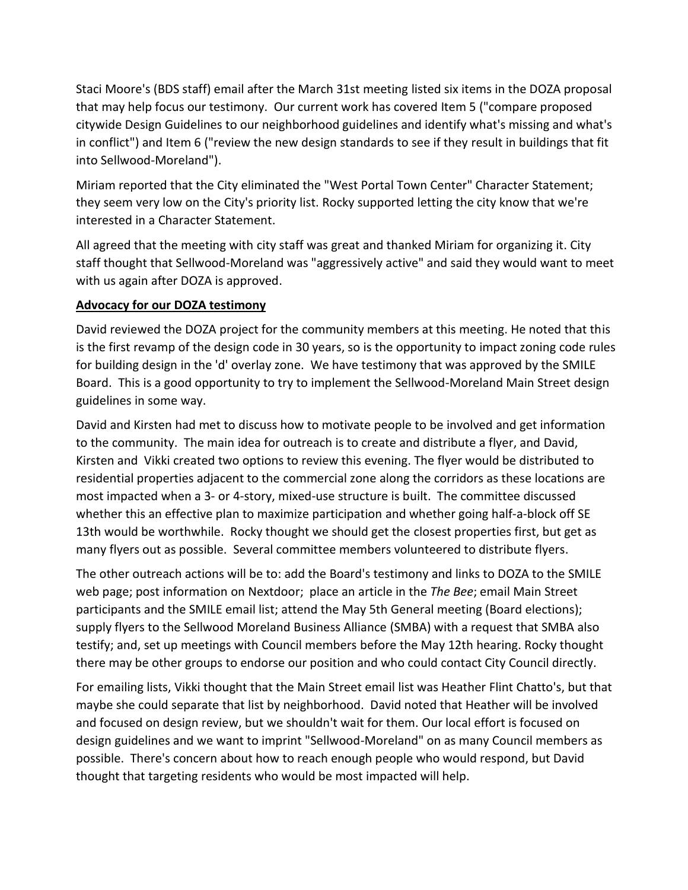Staci Moore's (BDS staff) email after the March 31st meeting listed six items in the DOZA proposal that may help focus our testimony. Our current work has covered Item 5 ("compare proposed citywide Design Guidelines to our neighborhood guidelines and identify what's missing and what's in conflict") and Item 6 ("review the new design standards to see if they result in buildings that fit into Sellwood-Moreland").

Miriam reported that the City eliminated the "West Portal Town Center" Character Statement; they seem very low on the City's priority list. Rocky supported letting the city know that we're interested in a Character Statement.

All agreed that the meeting with city staff was great and thanked Miriam for organizing it. City staff thought that Sellwood-Moreland was "aggressively active" and said they would want to meet with us again after DOZA is approved.

## **Advocacy for our DOZA testimony**

David reviewed the DOZA project for the community members at this meeting. He noted that this is the first revamp of the design code in 30 years, so is the opportunity to impact zoning code rules for building design in the 'd' overlay zone. We have testimony that was approved by the SMILE Board. This is a good opportunity to try to implement the Sellwood-Moreland Main Street design guidelines in some way.

David and Kirsten had met to discuss how to motivate people to be involved and get information to the community. The main idea for outreach is to create and distribute a flyer, and David, Kirsten and Vikki created two options to review this evening. The flyer would be distributed to residential properties adjacent to the commercial zone along the corridors as these locations are most impacted when a 3- or 4-story, mixed-use structure is built. The committee discussed whether this an effective plan to maximize participation and whether going half-a-block off SE 13th would be worthwhile. Rocky thought we should get the closest properties first, but get as many flyers out as possible. Several committee members volunteered to distribute flyers.

The other outreach actions will be to: add the Board's testimony and links to DOZA to the SMILE web page; post information on Nextdoor; place an article in the *The Bee*; email Main Street participants and the SMILE email list; attend the May 5th General meeting (Board elections); supply flyers to the Sellwood Moreland Business Alliance (SMBA) with a request that SMBA also testify; and, set up meetings with Council members before the May 12th hearing. Rocky thought there may be other groups to endorse our position and who could contact City Council directly.

For emailing lists, Vikki thought that the Main Street email list was Heather Flint Chatto's, but that maybe she could separate that list by neighborhood. David noted that Heather will be involved and focused on design review, but we shouldn't wait for them. Our local effort is focused on design guidelines and we want to imprint "Sellwood-Moreland" on as many Council members as possible. There's concern about how to reach enough people who would respond, but David thought that targeting residents who would be most impacted will help.